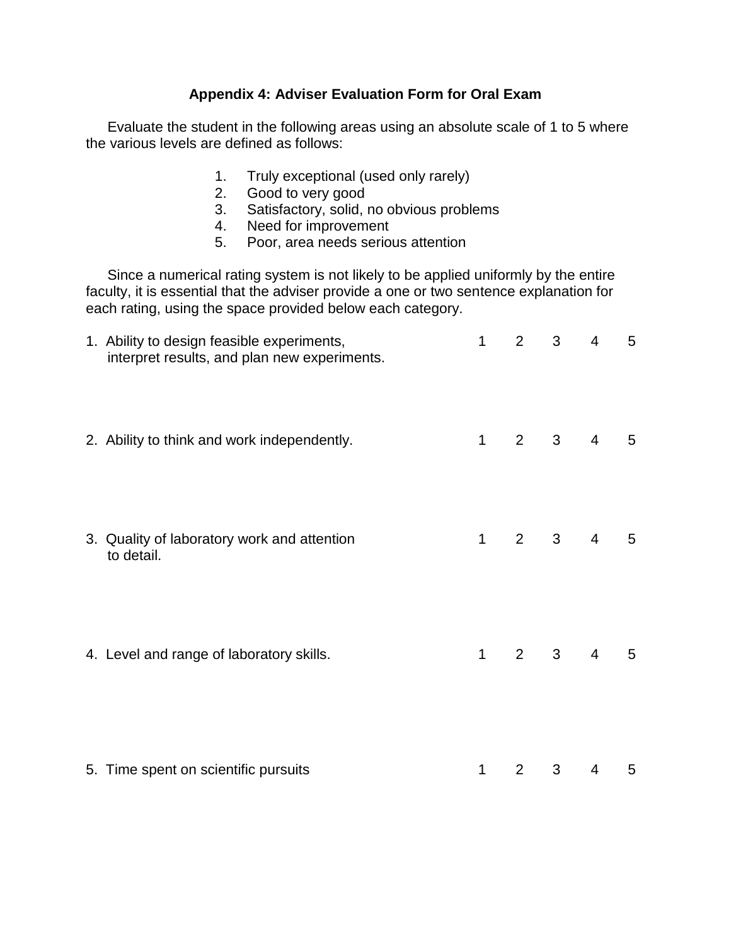## **Appendix 4: Adviser Evaluation Form for Oral Exam**

Evaluate the student in the following areas using an absolute scale of 1 to 5 where the various levels are defined as follows:

- 1. Truly exceptional (used only rarely)
- 2. Good to very good
- 3. Satisfactory, solid, no obvious problems
- 4. Need for improvement
- 5. Poor, area needs serious attention

Since a numerical rating system is not likely to be applied uniformly by the entire faculty, it is essential that the adviser provide a one or two sentence explanation for each rating, using the space provided below each category.

| 1. Ability to design feasible experiments,<br>interpret results, and plan new experiments. | $\mathbf{1}$ | $\overline{2}$ | 3              | $\overline{4}$                 | 5               |
|--------------------------------------------------------------------------------------------|--------------|----------------|----------------|--------------------------------|-----------------|
| 2. Ability to think and work independently.                                                | $\mathbf{1}$ | $2^{\circ}$    | $3^{\circ}$    | $\overline{4}$                 | $5\phantom{.0}$ |
| 3. Quality of laboratory work and attention<br>to detail.                                  | $\mathbf{1}$ | $2^{\circ}$    | 3 <sup>7</sup> | $\overline{4}$                 | $5\phantom{.0}$ |
| 4. Level and range of laboratory skills.                                                   | $\mathbf{1}$ |                |                | $2 \qquad 3 \qquad 4 \qquad 5$ |                 |
| 5. Time spent on scientific pursuits                                                       | 1            | 2              | 3              | 4                              | 5               |